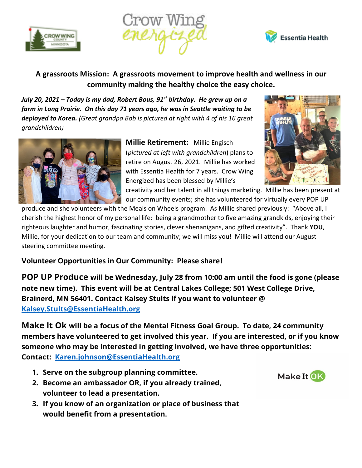





## **A grassroots Mission: A grassroots movement to improve health and wellness in our community making the healthy choice the easy choice.**

*July 20, 2021 – Today is my dad, Robert Bous, 91st birthday. He grew up on a farm in Long Prairie. On this day 71 years ago, he was in Seattle waiting to be deployed to Korea. (Great grandpa Bob is pictured at right with 4 of his 16 great grandchildren)*



**Millie Retirement:** Millie Engisch (*pictured at left with grandchildren*) plans to retire on August 26, 2021. Millie has worked with Essentia Health for 7 years. Crow Wing Energized has been blessed by Millie's



creativity and her talent in all things marketing. Millie has been present at our community events; she has volunteered for virtually every POP UP

produce and she volunteers with the Meals on Wheels program. As Millie shared previously: "Above all, I cherish the highest honor of my personal life: being a grandmother to five amazing grandkids, enjoying their righteous laughter and humor, fascinating stories, clever shenanigans, and gifted creativity". Thank **YOU**, Millie, for your dedication to our team and community; we will miss you! Millie will attend our August steering committee meeting.

**Volunteer Opportunities in Our Community: Please share!** 

**POP UP Produce will be Wednesday, July 28 from 10:00 am until the food is gone (please note new time). This event will be at Central Lakes College; 501 West College Drive, Brainerd, MN 56401. Contact Kalsey Stults if you want to volunteer @ Kalsey.Stults@EssentiaHealth.org**

**Make It Ok will be a focus of the Mental Fitness Goal Group. To date, 24 community members have volunteered to get involved this year. If you are interested, or if you know someone who may be interested in getting involved, we have three opportunities: Contact: Karen.johnson@EssentiaHealth.org**

- **1. Serve on the subgroup planning committee.**
- **2. Become an ambassador OR, if you already trained, volunteer to lead a presentation.**
- **3. If you know of an organization or place of business that would benefit from a presentation.**